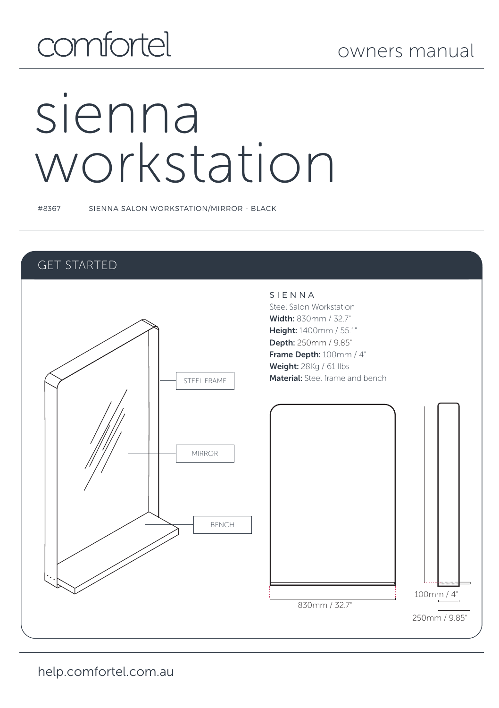# comfortel

# sienna workstation

#8367 SIENNA SALON WORKSTATION/MIRROR - BLACK

#### GET STARTED

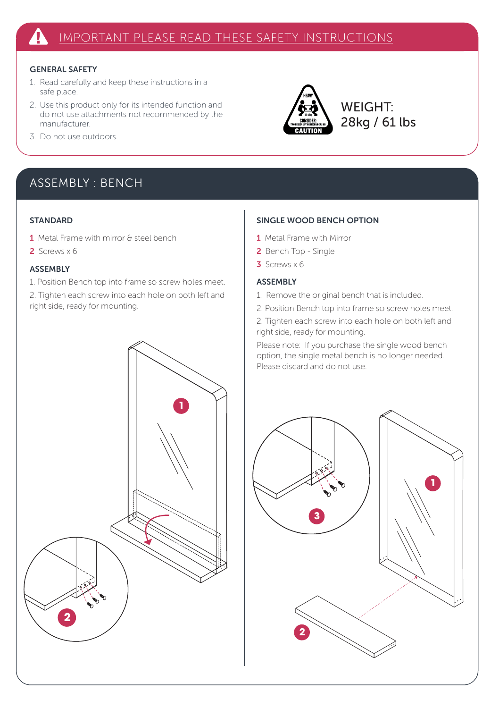#### GENERAL SAFETY

- 1. Read carefully and keep these instructions in a safe place.
- 2. Use this product only for its intended function and do not use attachments not recommended by the manufacturer.
- 3. Do not use outdoors.

#### ASSEMBLY : BENCH

#### **STANDARD**

- 1 Metal Frame with mirror & steel bench
- 2 Screws x 6

#### ASSEMBLY

1. Position Bench top into frame so screw holes meet. 2. Tighten each screw into each hole on both left and right side, ready for mounting.

#### SINGLE WOOD BENCH OPTION

- 1 Metal Frame with Mirror
- 2 Bench Top Single
- $3$  Screws  $\times$  6

#### ASSEMBLY

- 1. Remove the original bench that is included.
- 2. Position Bench top into frame so screw holes meet.

**WEIGHT:** 28kg / 61 lbs

2. Tighten each screw into each hole on both left and right side, ready for mounting.

Please note: If you purchase the single wood bench option, the single metal bench is no longer needed. Please discard and do not use.



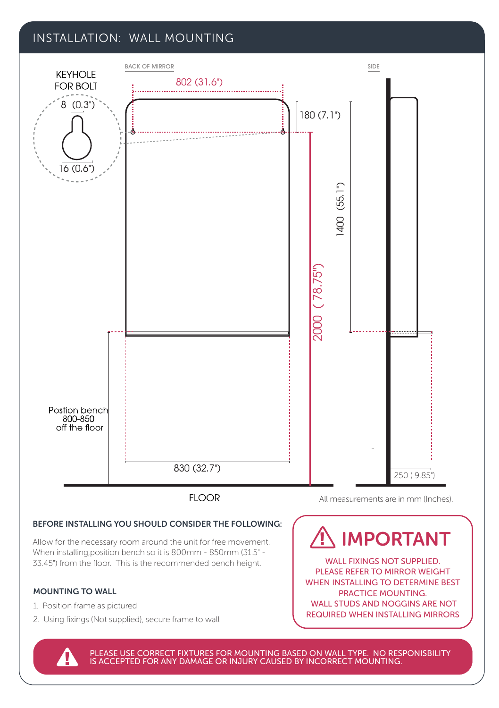#### INSTALLATION: WALL MOUNTING



PLEASE USE CORRECT FIXTURES FOR MOUNTING BASED ON WALL TYPE. NO RESPONISBILITY<br>IS ACCEPTED FOR ANY DAMAGE OR INJURY CAUSED BY INCORRECT MOUNTING.